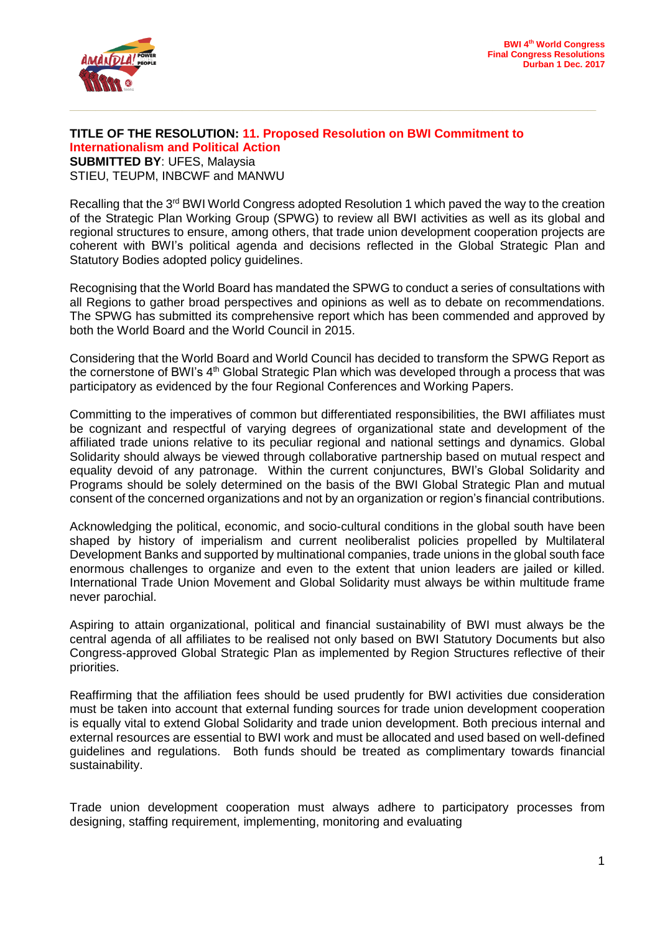

## **TITLE OF THE RESOLUTION: 11. Proposed Resolution on BWI Commitment to Internationalism and Political Action SUBMITTED BY**: UFES, Malaysia STIEU, TEUPM, INBCWF and MANWU

Recalling that the 3<sup>rd</sup> BWI World Congress adopted Resolution 1 which paved the way to the creation of the Strategic Plan Working Group (SPWG) to review all BWI activities as well as its global and regional structures to ensure, among others, that trade union development cooperation projects are coherent with BWI's political agenda and decisions reflected in the Global Strategic Plan and Statutory Bodies adopted policy guidelines.

Recognising that the World Board has mandated the SPWG to conduct a series of consultations with all Regions to gather broad perspectives and opinions as well as to debate on recommendations. The SPWG has submitted its comprehensive report which has been commended and approved by both the World Board and the World Council in 2015.

Considering that the World Board and World Council has decided to transform the SPWG Report as the cornerstone of BWI's 4<sup>th</sup> Global Strategic Plan which was developed through a process that was participatory as evidenced by the four Regional Conferences and Working Papers.

Committing to the imperatives of common but differentiated responsibilities, the BWI affiliates must be cognizant and respectful of varying degrees of organizational state and development of the affiliated trade unions relative to its peculiar regional and national settings and dynamics. Global Solidarity should always be viewed through collaborative partnership based on mutual respect and equality devoid of any patronage. Within the current conjunctures, BWI's Global Solidarity and Programs should be solely determined on the basis of the BWI Global Strategic Plan and mutual consent of the concerned organizations and not by an organization or region's financial contributions.

Acknowledging the political, economic, and socio-cultural conditions in the global south have been shaped by history of imperialism and current neoliberalist policies propelled by Multilateral Development Banks and supported by multinational companies, trade unions in the global south face enormous challenges to organize and even to the extent that union leaders are jailed or killed. International Trade Union Movement and Global Solidarity must always be within multitude frame never parochial.

Aspiring to attain organizational, political and financial sustainability of BWI must always be the central agenda of all affiliates to be realised not only based on BWI Statutory Documents but also Congress-approved Global Strategic Plan as implemented by Region Structures reflective of their priorities.

Reaffirming that the affiliation fees should be used prudently for BWI activities due consideration must be taken into account that external funding sources for trade union development cooperation is equally vital to extend Global Solidarity and trade union development. Both precious internal and external resources are essential to BWI work and must be allocated and used based on well-defined guidelines and regulations. Both funds should be treated as complimentary towards financial sustainability.

Trade union development cooperation must always adhere to participatory processes from designing, staffing requirement, implementing, monitoring and evaluating